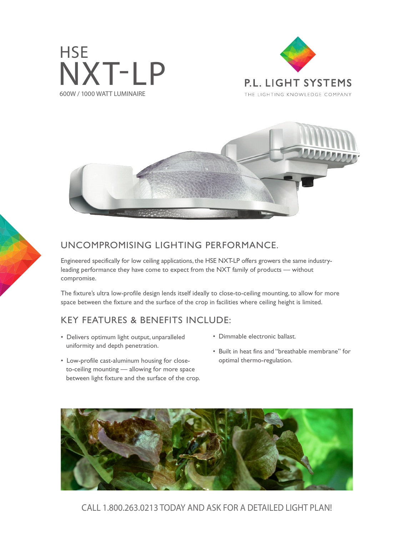





## UNCOMPROMISING LIGHTING PERFORMANCE.

Engineered specifically for low ceiling applications, the HSE NXT-LP offers growers the same industryleading performance they have come to expect from the NXT family of products — without compromise.

The fixture's ultra low-profile design lends itself ideally to close-to-ceiling mounting, to allow for more space between the fixture and the surface of the crop in facilities where ceiling height is limited.

## KEY FEATURES & BENEFITS INCLUDE:

- Delivers optimum light output, unparalleled uniformity and depth penetration.
- Low-profile cast-aluminum housing for closeto-ceiling mounting — allowing for more space between light fixture and the surface of the crop.
- Dimmable electronic ballast.
- Built in heat fins and "breathable membrane" for optimal thermo-regulation.



CALL 1.800.263.0213 TODAY AND ASK FOR A DETAILED LIGHT PLAN!